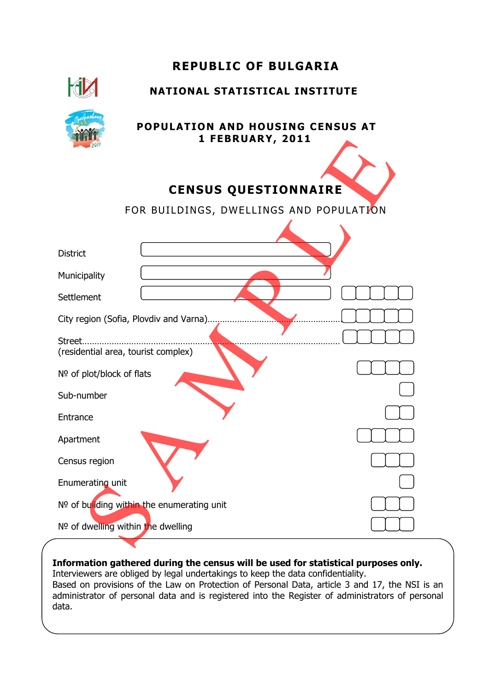|                                               | <b>REPUBLIC OF BULGARIA</b>                                 |
|-----------------------------------------------|-------------------------------------------------------------|
|                                               | <b>NATIONAL STATISTICAL INSTITUTE</b>                       |
|                                               | <b>POPULATION AND HOUSING CENSUS AT</b><br>1 FEBRUARY, 2011 |
|                                               | <b>CENSUS QUESTIONNAIRE</b>                                 |
|                                               | FOR BUILDINGS, DWELLINGS AND POPULATION                     |
|                                               |                                                             |
| <b>District</b>                               |                                                             |
| Municipality                                  |                                                             |
| Settlement                                    |                                                             |
|                                               | City region (Sofia, Plovdiv and Varna)                      |
| Street<br>(residential area, tourist complex) |                                                             |
| Nº of plot/block of flats                     |                                                             |
| Sub-number                                    |                                                             |
| Entrance                                      |                                                             |
| Apartment                                     |                                                             |
| Census region                                 |                                                             |
| Enumerating unit                              |                                                             |
|                                               | Nº of building within the enumerating unit                  |
| $No$ of dwelling within the dwelling          |                                                             |
|                                               |                                                             |

**Information gathered during the census will be used for statistical purposes only.**  Interviewers are obliged by legal undertakings to keep the data confidentiality. Based on provisions of the Law on Protection of Personal Data, article 3 and 17, the NSI is an administrator of personal data and is registered into the Register of administrators of personal data.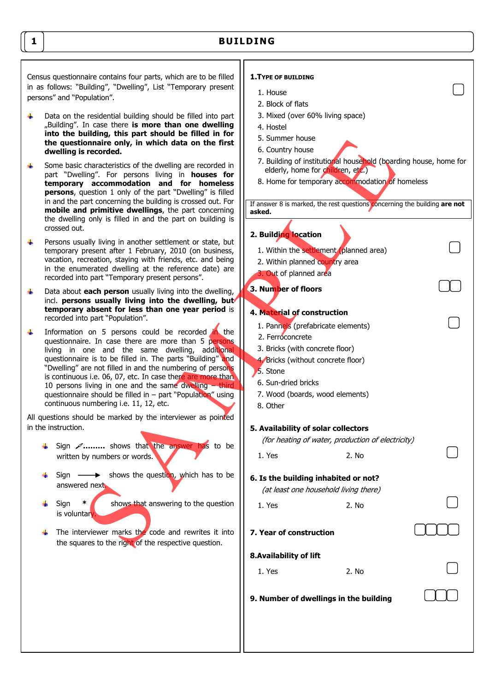# **BUILDING**

Census questionnaire contains four parts, which are to be filled in as follows: "Building", "Dwelling", List "Temporary present persons" and "Population".

- $\Delta \Gamma$ Data on the residential building should be filled into part "Building". In case there **is more than one dwelling into the building, this part should be filled in for the questionnaire only, in which data on the first dwelling is recorded.**
- Some basic characteristics of the dwelling are recorded in ÷. part "Dwelling". For persons living in **houses for temporary accommodation and for homeless persons**, question 1 only of the part "Dwelling" is filled in and the part concerning the building is crossed out. For **mobile and primitive dwellings**, the part concerning the dwelling only is filled in and the part on building is crossed out.
- 4. Persons usually living in another settlement or state, but temporary present after 1 February, 2010 (on business, vacation, recreation, staying with friends, etc. and being in the enumerated dwelling at the reference date) are recorded into part "Temporary present persons".
- Data about **each person** usually living into the dwelling, 4. incl. **persons usually living into the dwelling, but temporary absent for less than one year period** is recorded into part "Population".
- onnaire only, in which data on the first  $\frac{1}{2}$ . Butting the characteristics of the dwelling are necorded in  $\frac{1}{2}$ . Butting of neticlosion is connected the property in the **are of the property** and the determinant Information on 5 persons could be recorded in the a. questionnaire. In case there are more than 5 persons living in one and the same dwelling, additional questionnaire is to be filled in. The parts "Building" and "Dwelling" are not filled in and the numbering of persons is continuous i.e. 06, 07, etc. In case there are more than 10 persons living in one and the same dwelling – third questionnaire should be filled in  $-$  part "Population" using continuous numbering i.e. 11, 12, etc.

All questions should be marked by the interviewer as pointed in the instruction.

- **↓** Sign **⁄………** shows that the answer has to be written by numbers or words.
- Sign  $\longrightarrow$  shows the question, which has to be answered next.
- Sign **\*** shows that answering to the question is voluntary.
- $\leftarrow$  The interviewer marks the code and rewrites it into the squares to the right of the respective question.

## **1.TYPE OF BUILDING**

- 1. House
- 2. Block of flats
- 3. Mixed (over 60% living space)
- 4. Hostel
- 5. Summer house
- 6. Country house
- 7. Building of institutional household (boarding house, home for elderly, home for children, etc.)
- 8. Home for temporary accommodation of homeless

If answer 8 is marked, the rest questions concerning the building **are not asked.**

# **2. Building location**

- 1. Within the settlement (planned area)
- 2. Within planned country area
- 3. Out of planned area

**3. Number of floors** 

# **4. Material of construction**

- 1. Pannels (prefabricate elements)
- 2. Ferroconcrete
- 3. Bricks (with concrete floor)
- 4. Bricks (without concrete floor)
- 5. Stone
- 6. Sun-dried bricks
- 7. Wood (boards, wood elements)
- 8. Other

### **5. Availability of solar collectors**

(for heating of water, production of electricity)

| 1. Yes | 2. No |
|--------|-------|
|        |       |

### **6. Is the building inhabited or not?**

(at least one household living there)

| 1. Yes | 2. No |
|--------|-------|
|        |       |
|        |       |

### **7. Year of construction**

### **8.Availability of lift**

1. Yes 2. No.

**9. Number of dwellings in the building** 

**1**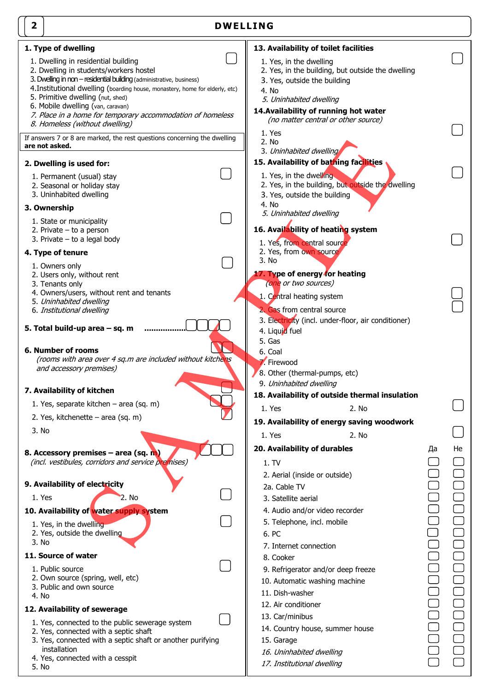| $\overline{\mathbf{2}}$<br><b>DWELLING</b>                                                                                                                                                                                                             |                                                                                                                                                                 |    |    |
|--------------------------------------------------------------------------------------------------------------------------------------------------------------------------------------------------------------------------------------------------------|-----------------------------------------------------------------------------------------------------------------------------------------------------------------|----|----|
| 1. Type of dwelling<br>1. Dwelling in residential building<br>2. Dwelling in students/workers hostel<br>3. Dwelling in non - residential building (administrative, business)                                                                           | 13. Availability of toilet facilities<br>1. Yes, in the dwelling<br>2. Yes, in the building, but outside the dwelling<br>3. Yes, outside the building           |    |    |
| 4. Institutional dwelling (boarding house, monastery, home for elderly, etc)<br>5. Primitive dwelling (nut, shed)<br>6. Mobile dwelling (van, caravan)<br>7. Place in a home for temporary accommodation of homeless<br>8. Homeless (without dwelling) | 4. No<br>5. Uninhabited dwelling<br>14. Availability of running hot water<br>(no matter central or other source)<br>1. Yes                                      |    |    |
| If answers 7 or 8 are marked, the rest questions concerning the dwelling<br>are not asked.                                                                                                                                                             | 2. No<br>3. Uninhabited dwelling                                                                                                                                |    |    |
| 2. Dwelling is used for:<br>1. Permanent (usual) stay<br>2. Seasonal or holiday stay<br>3. Uninhabited dwelling                                                                                                                                        | 15. Availability of bathing facilities<br>1. Yes, in the dwelling<br>2. Yes, in the building, but outside the dwelling<br>3. Yes, outside the building<br>4. No |    |    |
| 3. Ownership<br>1. State or municipality<br>2. Private $-$ to a person<br>3. Private $-$ to a legal body                                                                                                                                               | 5. Uninhabited dwelling<br>16. Availability of heating system<br>1. Yes, from central source                                                                    |    |    |
| 4. Type of tenure<br>1. Owners only                                                                                                                                                                                                                    | 2. Yes, from own source<br>3. No                                                                                                                                |    |    |
| 2. Users only, without rent<br>3. Tenants only<br>4. Owners/users, without rent and tenants<br>5. Uninhabited dwelling<br>6. Institutional dwelling                                                                                                    | 17. Type of energy for heating<br>(one or two sources)<br>1. Central heating system<br>2. Gas from central source                                               |    |    |
| 5. Total build-up area - sq. m                                                                                                                                                                                                                         | 3. Electricity (incl. under-floor, air conditioner)<br>4. Liquid fuel<br>5. Gas                                                                                 |    |    |
| <b>6. Number of rooms</b><br>(rooms with area over 4 sq.m are included without kitchens<br>and accessory premises)                                                                                                                                     | 6. Coal<br>7. Firewood<br>8. Other (thermal-pumps, etc)                                                                                                         |    |    |
| 7. Availability of kitchen                                                                                                                                                                                                                             | 9. Uninhabited dwelling<br>18. Availability of outside thermal insulation                                                                                       |    |    |
| 1. Yes, separate kitchen - area (sq. m)                                                                                                                                                                                                                | 2. No<br>1. Yes                                                                                                                                                 |    |    |
| 2. Yes, kitchenette – area (sq. m)                                                                                                                                                                                                                     | 19. Availability of energy saving woodwork                                                                                                                      |    |    |
| 3. No                                                                                                                                                                                                                                                  | 2. No<br>1. Yes                                                                                                                                                 |    |    |
| 8. Accessory premises - area (sq. m)<br>(incl. vestibules, corridors and service premises)                                                                                                                                                             | 20. Availability of durables<br>1. TV                                                                                                                           | Да | He |
| 9. Availability of electricity                                                                                                                                                                                                                         | 2. Aerial (inside or outside)                                                                                                                                   |    |    |
| 1. Yes<br>2. No                                                                                                                                                                                                                                        | 2a. Cable TV<br>3. Satellite aerial                                                                                                                             |    |    |
| 10. Availability of water supply system                                                                                                                                                                                                                | 4. Audio and/or video recorder                                                                                                                                  |    |    |
| 1. Yes, in the dwelling<br>2. Yes, outside the dwelling<br>3. No                                                                                                                                                                                       | 5. Telephone, incl. mobile<br>6. PC<br>7. Internet connection                                                                                                   |    |    |
| 11. Source of water                                                                                                                                                                                                                                    | 8. Cooker                                                                                                                                                       |    |    |
| 1. Public source<br>2. Own source (spring, well, etc)<br>3. Public and own source<br>4. No                                                                                                                                                             | 9. Refrigerator and/or deep freeze<br>10. Automatic washing machine<br>11. Dish-washer                                                                          |    |    |
| 12. Availability of sewerage                                                                                                                                                                                                                           | 12. Air conditioner                                                                                                                                             |    |    |
| 1. Yes, connected to the public sewerage system<br>2. Yes, connected with a septic shaft<br>3. Yes, connected with a septic shaft or another purifying<br>installation<br>4. Yes, connected with a cesspit<br>5. No                                    | 13. Car/minibus<br>14. Country house, summer house<br>15. Garage<br>16. Uninhabited dwelling<br>17. Institutional dwelling                                      |    |    |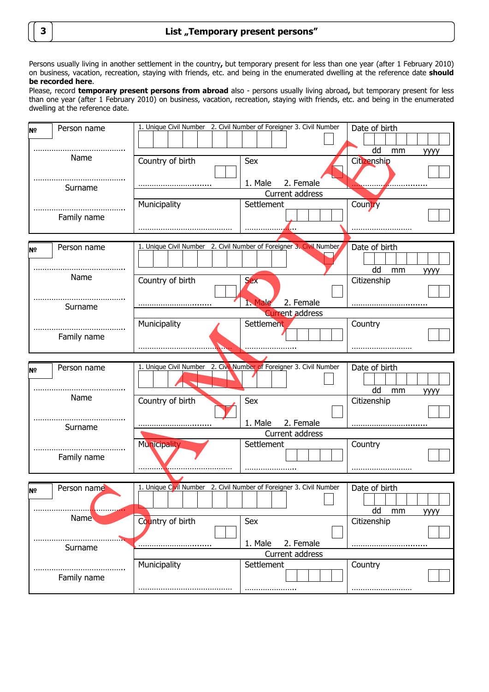Persons usually living in another settlement in the country**,** but temporary present for less than one year (after 1 February 2010) on business, vacation, recreation, staying with friends, etc. and being in the enumerated dwelling at the reference date **should be recorded here**.

|                                 |  |  |  | Please, record temporary present persons from abroad also - persons usually living abroad, but temporary present for less       |  |  |  |
|---------------------------------|--|--|--|---------------------------------------------------------------------------------------------------------------------------------|--|--|--|
|                                 |  |  |  | than one year (after 1 February 2010) on business, vacation, recreation, staying with friends, etc. and being in the enumerated |  |  |  |
| dwelling at the reference date. |  |  |  |                                                                                                                                 |  |  |  |

| Nº. | Person name | 1. Unique Civil Number 2. Civil Number of Foreigner 3. Civil Number |                        | Date of birth           |
|-----|-------------|---------------------------------------------------------------------|------------------------|-------------------------|
|     |             |                                                                     |                        |                         |
|     |             |                                                                     |                        | dd<br>mm<br><b>УУУУ</b> |
|     | Name        | Country of birth                                                    | Sex                    | Citizenship             |
|     |             |                                                                     |                        |                         |
|     |             |                                                                     | 1. Male<br>2. Female   |                         |
|     | Surname     |                                                                     | Current address        |                         |
|     |             | Municipality                                                        | Settlement             | Country                 |
|     | Family name |                                                                     |                        |                         |
|     |             |                                                                     |                        |                         |
|     |             |                                                                     |                        |                         |
| Nº  | Person name | 1. Unique Civil Number 2. Civil Number of Foreigner 3. Civil Number |                        | Date of birth           |
|     |             |                                                                     |                        |                         |
|     |             |                                                                     |                        | dd<br>mm<br><b>УУУУ</b> |
|     | Name        | Country of birth                                                    | <b>Sex</b>             | Citizenship             |
|     |             |                                                                     |                        |                         |
|     | Surname     |                                                                     | 2. Female<br>1 Male    |                         |
|     |             |                                                                     | <b>Current address</b> |                         |
|     |             | Municipality                                                        | Settlement             | Country                 |
|     | Family name |                                                                     |                        |                         |
|     |             |                                                                     |                        |                         |
|     |             |                                                                     |                        |                         |
|     |             |                                                                     |                        |                         |
| Nº. | Person name | 1. Unique Civil Number 2. Civil Number of Foreigner 3. Civil Number |                        | Date of birth           |
|     |             |                                                                     |                        |                         |
|     |             |                                                                     |                        | dd<br>mm<br>уууу        |
|     | Name        | Country of birth                                                    | Sex                    | Citizenship             |
|     |             |                                                                     |                        |                         |
|     |             |                                                                     | 2. Female<br>1. Male   |                         |
|     | Surname     |                                                                     | Current address        |                         |
|     |             | <b>Municipality</b>                                                 | Settlement             | Country                 |
|     | Family name |                                                                     |                        |                         |
|     |             |                                                                     |                        |                         |
|     |             |                                                                     |                        |                         |
| ļΝ≌ | Person name | 1. Unique Civil Number 2. Civil Number of Foreigner 3. Civil Number |                        | Date of birth           |
|     |             |                                                                     |                        |                         |
|     |             |                                                                     |                        | dd<br>mm<br>уууу        |
|     | <b>Name</b> | Country of birth                                                    | Sex                    | Citizenship             |
|     |             |                                                                     |                        |                         |
|     |             |                                                                     | 1. Male<br>2. Female   |                         |
|     | Surname     |                                                                     | Current address        |                         |
|     |             | Municipality                                                        | Settlement             | Country                 |
|     |             |                                                                     |                        |                         |
|     | Family name |                                                                     |                        |                         |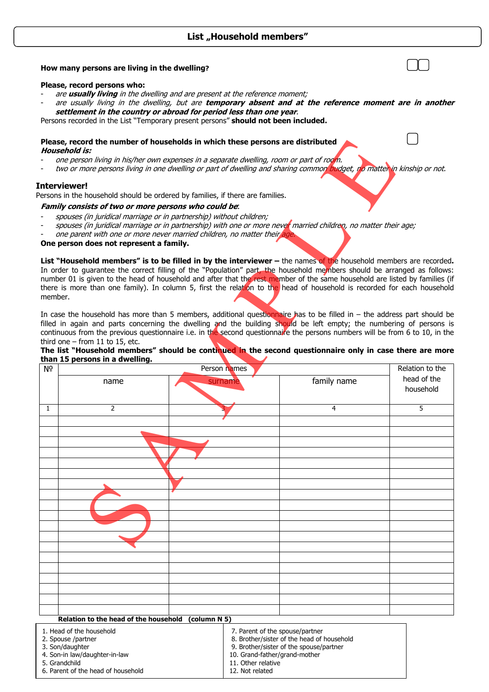# List "Household members"

### **How many persons are living in the dwelling?**

### **Please, record persons who:**

- are **usually living** in the dwelling and are present at the reference moment;
- are usually living in the dwelling, but are **temporary absent and at the reference moment are in another settlement in the country or abroad for period less than one year**.

Persons recorded in the List "Temporary present persons" **should not been included.** 

#### **Please, record the number of households in which these persons are distributed Household is:**

- one person living in his/her own expenses in a separate dwelling, room or part of room.
- two or more persons living in one dwelling or part of dwelling and sharing common budget, no matter in kinship or not.

### **Interviewer!**

### **Family consists of two or more persons who could be**:

- spouses (in juridical marriage or in partnership) without children;
- spouses (in juridical marriage or in partnership) with one or more never married children, no matter their age;
- one parent with one or more never married children, no matter their age.

### **One person does not represent a family.**

### **The list "Household members" should be continued in the second questionnaire only in case there are more than 15 persons in a dwelling.**

|                | Please, record the number of households in which these persons are distributed<br>Household is:                                                                                                                                                                                                                                                                                                                                                                                                                                                                      |                    |                                                                                                                                                           |                          |  |  |  |
|----------------|----------------------------------------------------------------------------------------------------------------------------------------------------------------------------------------------------------------------------------------------------------------------------------------------------------------------------------------------------------------------------------------------------------------------------------------------------------------------------------------------------------------------------------------------------------------------|--------------------|-----------------------------------------------------------------------------------------------------------------------------------------------------------|--------------------------|--|--|--|
|                | one person living in his/her own expenses in a separate dwelling, room or part of room.<br>two or more persons living in one dwelling or part of dwelling and sharing common budget, no matter in kinship or not.                                                                                                                                                                                                                                                                                                                                                    |                    |                                                                                                                                                           |                          |  |  |  |
|                | Interviewer!<br>Persons in the household should be ordered by families, if there are families.                                                                                                                                                                                                                                                                                                                                                                                                                                                                       |                    |                                                                                                                                                           |                          |  |  |  |
|                | Family consists of two or more persons who could be.                                                                                                                                                                                                                                                                                                                                                                                                                                                                                                                 |                    |                                                                                                                                                           |                          |  |  |  |
|                | spouses (in juridical marriage or in partnership) without children;<br>spouses (in juridical marriage or in partnership) with one or more never married children, no matter their age;<br>one parent with one or more never married children, no matter their age.<br>One person does not represent a family.                                                                                                                                                                                                                                                        |                    |                                                                                                                                                           |                          |  |  |  |
| member.        | List "Household members" is to be filled in by the interviewer - the names of the household members are recorded.<br>In order to guarantee the correct filling of the "Population" part, the household members should be arranged as follows:<br>number 01 is given to the head of household and after that the rest member of the same household are listed by families (if<br>there is more than one family). In column 5, first the relation to the head of household is recorded for each household                                                              |                    |                                                                                                                                                           |                          |  |  |  |
|                | In case the household has more than 5 members, additional question haire has to be filled in - the address part should be<br>filled in again and parts concerning the dwelling and the building should be left empty; the numbering of persons is<br>continuous from the previous questionnaire i.e. in the second questionnaire the persons numbers will be from 6 to 10, in the<br>third one $-$ from 11 to 15, etc.<br>The list "Household members" should be continued in the second questionnaire only in case there are more<br>than 15 persons in a dwelling. |                    |                                                                                                                                                           |                          |  |  |  |
| N <sub>2</sub> |                                                                                                                                                                                                                                                                                                                                                                                                                                                                                                                                                                      | Person names       |                                                                                                                                                           | Relation to the          |  |  |  |
|                | name                                                                                                                                                                                                                                                                                                                                                                                                                                                                                                                                                                 | surname            | family name                                                                                                                                               | head of the<br>household |  |  |  |
| $\mathbf{1}$   | 2                                                                                                                                                                                                                                                                                                                                                                                                                                                                                                                                                                    |                    | 4                                                                                                                                                         | 5                        |  |  |  |
|                |                                                                                                                                                                                                                                                                                                                                                                                                                                                                                                                                                                      |                    |                                                                                                                                                           |                          |  |  |  |
|                |                                                                                                                                                                                                                                                                                                                                                                                                                                                                                                                                                                      |                    |                                                                                                                                                           |                          |  |  |  |
|                |                                                                                                                                                                                                                                                                                                                                                                                                                                                                                                                                                                      |                    |                                                                                                                                                           |                          |  |  |  |
|                |                                                                                                                                                                                                                                                                                                                                                                                                                                                                                                                                                                      |                    |                                                                                                                                                           |                          |  |  |  |
|                |                                                                                                                                                                                                                                                                                                                                                                                                                                                                                                                                                                      |                    |                                                                                                                                                           |                          |  |  |  |
|                |                                                                                                                                                                                                                                                                                                                                                                                                                                                                                                                                                                      |                    |                                                                                                                                                           |                          |  |  |  |
|                |                                                                                                                                                                                                                                                                                                                                                                                                                                                                                                                                                                      |                    |                                                                                                                                                           |                          |  |  |  |
|                |                                                                                                                                                                                                                                                                                                                                                                                                                                                                                                                                                                      |                    |                                                                                                                                                           |                          |  |  |  |
|                |                                                                                                                                                                                                                                                                                                                                                                                                                                                                                                                                                                      |                    |                                                                                                                                                           |                          |  |  |  |
|                |                                                                                                                                                                                                                                                                                                                                                                                                                                                                                                                                                                      |                    |                                                                                                                                                           |                          |  |  |  |
|                |                                                                                                                                                                                                                                                                                                                                                                                                                                                                                                                                                                      |                    |                                                                                                                                                           |                          |  |  |  |
|                |                                                                                                                                                                                                                                                                                                                                                                                                                                                                                                                                                                      |                    |                                                                                                                                                           |                          |  |  |  |
|                |                                                                                                                                                                                                                                                                                                                                                                                                                                                                                                                                                                      |                    |                                                                                                                                                           |                          |  |  |  |
|                |                                                                                                                                                                                                                                                                                                                                                                                                                                                                                                                                                                      |                    |                                                                                                                                                           |                          |  |  |  |
|                |                                                                                                                                                                                                                                                                                                                                                                                                                                                                                                                                                                      |                    |                                                                                                                                                           |                          |  |  |  |
|                |                                                                                                                                                                                                                                                                                                                                                                                                                                                                                                                                                                      |                    |                                                                                                                                                           |                          |  |  |  |
|                |                                                                                                                                                                                                                                                                                                                                                                                                                                                                                                                                                                      |                    |                                                                                                                                                           |                          |  |  |  |
|                |                                                                                                                                                                                                                                                                                                                                                                                                                                                                                                                                                                      |                    |                                                                                                                                                           |                          |  |  |  |
|                | Relation to the head of the household                                                                                                                                                                                                                                                                                                                                                                                                                                                                                                                                | (column N 5)       |                                                                                                                                                           |                          |  |  |  |
|                | 1. Head of the household<br>2. Spouse /partner<br>3. Son/daughter<br>4. Son-in law/daughter-in-law<br>5. Grandchild                                                                                                                                                                                                                                                                                                                                                                                                                                                  | 11. Other relative | 7. Parent of the spouse/partner<br>8. Brother/sister of the head of household<br>9. Brother/sister of the spouse/partner<br>10. Grand-father/grand-mother |                          |  |  |  |

12. Not related

5. Grandchild 6. Parent of the head of household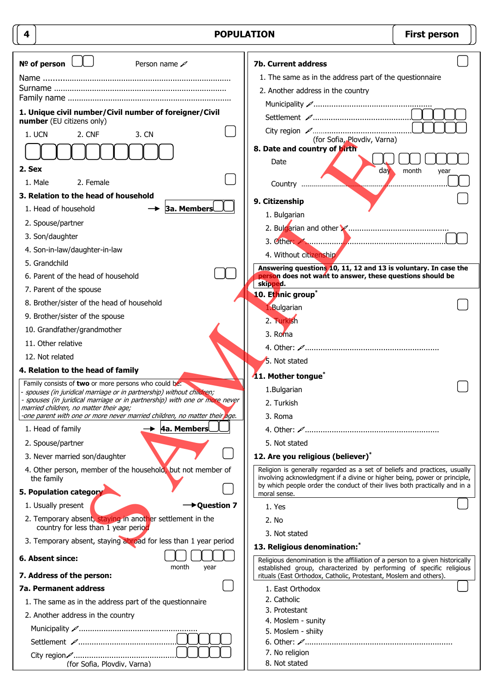| 4                                                                                                                             | <b>POPULATION</b>                                                                                                                                                                                                                    | <b>First person</b> |
|-------------------------------------------------------------------------------------------------------------------------------|--------------------------------------------------------------------------------------------------------------------------------------------------------------------------------------------------------------------------------------|---------------------|
| $No$ of person $\Box$<br>Person name $\mathscr{D}$                                                                            | 7b. Current address                                                                                                                                                                                                                  |                     |
|                                                                                                                               | 1. The same as in the address part of the questionnaire                                                                                                                                                                              |                     |
|                                                                                                                               | 2. Another address in the country                                                                                                                                                                                                    |                     |
|                                                                                                                               |                                                                                                                                                                                                                                      |                     |
| 1. Unique civil number/Civil number of foreigner/Civil<br>number (EU citizens only)                                           |                                                                                                                                                                                                                                      |                     |
| 1. UCN<br>2. CNF<br>3. CN                                                                                                     | (for Sofia, Plovdiv, Varna)                                                                                                                                                                                                          |                     |
|                                                                                                                               | 8. Date and country of birth                                                                                                                                                                                                         |                     |
| 2. Sex                                                                                                                        | Date<br>day                                                                                                                                                                                                                          | month<br>year       |
| 1. Male<br>2. Female                                                                                                          |                                                                                                                                                                                                                                      |                     |
| 3. Relation to the head of household                                                                                          |                                                                                                                                                                                                                                      |                     |
| <b>3a. Members</b><br>1. Head of household                                                                                    | 9. Citizenship<br>1. Bulgarian                                                                                                                                                                                                       |                     |
| 2. Spouse/partner                                                                                                             |                                                                                                                                                                                                                                      |                     |
| 3. Son/daughter                                                                                                               |                                                                                                                                                                                                                                      |                     |
| 4. Son-in-law/daughter-in-law                                                                                                 | 4. Without citizenship                                                                                                                                                                                                               |                     |
| 5. Grandchild                                                                                                                 | Answering questions 10, 11, 12 and 13 is voluntary. In case the                                                                                                                                                                      |                     |
| 6. Parent of the head of household                                                                                            | person does not want to answer, these questions should be<br>skipped.                                                                                                                                                                |                     |
| 7. Parent of the spouse                                                                                                       | 10. Ethnic group <sup>*</sup>                                                                                                                                                                                                        |                     |
| 8. Brother/sister of the head of household                                                                                    | 1. Bulgarian                                                                                                                                                                                                                         |                     |
| 9. Brother/sister of the spouse                                                                                               | 2. Turkish                                                                                                                                                                                                                           |                     |
| 10. Grandfather/grandmother                                                                                                   | 3. Roma                                                                                                                                                                                                                              |                     |
| 11. Other relative                                                                                                            |                                                                                                                                                                                                                                      |                     |
| 12. Not related                                                                                                               | 5. Not stated                                                                                                                                                                                                                        |                     |
| 4. Relation to the head of family                                                                                             | 11. Mother tongue <sup>*</sup>                                                                                                                                                                                                       |                     |
| Family consists of two or more persons who could be:<br>- spouses (in juridical marriage or in partnership) without children; | 1.Bulgarian                                                                                                                                                                                                                          |                     |
| - spouses (in juridical marriage or in partnership) with one or more never<br>married children, no matter their age;          | 2. Turkish                                                                                                                                                                                                                           |                     |
| -one parent with one or more never married children, no matter their age.                                                     | 3. Roma                                                                                                                                                                                                                              |                     |
| 4a. Members<br>1. Head of family                                                                                              |                                                                                                                                                                                                                                      |                     |
| 2. Spouse/partner                                                                                                             | 5. Not stated                                                                                                                                                                                                                        |                     |
| 3. Never married son/daughter                                                                                                 | 12. Are you religious (believer)*                                                                                                                                                                                                    |                     |
| 4. Other person, member of the household, but not member of<br>the family                                                     | Religion is generally regarded as a set of beliefs and practices, usually<br>involving acknowledgment if a divine or higher being, power or principle,<br>by which people order the conduct of their lives both practically and in a |                     |
| 5. Population category                                                                                                        | moral sense.                                                                                                                                                                                                                         |                     |
| 1. Usually present<br>→ Question 7                                                                                            | 1. Yes                                                                                                                                                                                                                               |                     |
| 2. Temporary absent, staying in another settlement in the<br>country for less than 1 year period                              | 2. No                                                                                                                                                                                                                                |                     |
| 3. Temporary absent, staying abroad for less than 1 year period                                                               | 3. Not stated                                                                                                                                                                                                                        |                     |
| 6. Absent since:                                                                                                              | 13. Religious denomination:                                                                                                                                                                                                          |                     |
| month<br>year                                                                                                                 | Religious denomination is the affiliation of a person to a given historically<br>established group, characterized by performing of specific religious                                                                                |                     |
| 7. Address of the person:                                                                                                     | rituals (East Orthodox, Catholic, Protestant, Moslem and others).                                                                                                                                                                    |                     |
| <b>7a. Permanent address</b>                                                                                                  | 1. East Orthodox<br>2. Catholic                                                                                                                                                                                                      |                     |
| 1. The same as in the address part of the questionnaire<br>2. Another address in the country                                  | 3. Protestant                                                                                                                                                                                                                        |                     |
|                                                                                                                               | 4. Moslem - sunity                                                                                                                                                                                                                   |                     |
|                                                                                                                               | 5. Moslem - shiity                                                                                                                                                                                                                   |                     |
|                                                                                                                               | 7. No religion                                                                                                                                                                                                                       |                     |
| (for Sofia, Plovdiv, Varna)                                                                                                   | 8. Not stated                                                                                                                                                                                                                        |                     |

 $\mathcal{L}$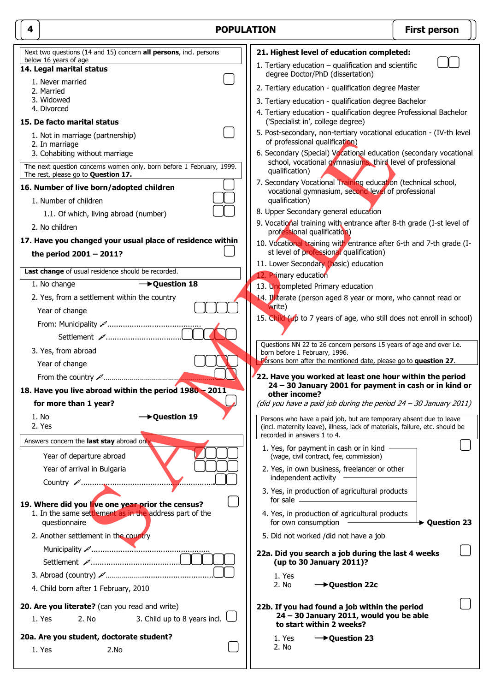| 4 | <b>POPULATION</b>                                                                                                                             | <b>First person</b>                                                                                                                                                                                                                                                                                                                                                                                                                                                                                          |               |
|---|-----------------------------------------------------------------------------------------------------------------------------------------------|--------------------------------------------------------------------------------------------------------------------------------------------------------------------------------------------------------------------------------------------------------------------------------------------------------------------------------------------------------------------------------------------------------------------------------------------------------------------------------------------------------------|---------------|
|   | Next two questions (14 and 15) concern all persons, incl. persons                                                                             | 21. Highest level of education completed:                                                                                                                                                                                                                                                                                                                                                                                                                                                                    |               |
|   | below 16 years of age<br>14. Legal marital status                                                                                             | 1. Tertiary education $-$ qualification and scientific<br>degree Doctor/PhD (dissertation)                                                                                                                                                                                                                                                                                                                                                                                                                   |               |
|   | 1. Never married<br>2. Married                                                                                                                | 2. Tertiary education - qualification degree Master                                                                                                                                                                                                                                                                                                                                                                                                                                                          |               |
|   | 3. Widowed                                                                                                                                    | 3. Tertiary education - qualification degree Bachelor                                                                                                                                                                                                                                                                                                                                                                                                                                                        |               |
|   | 4. Divorced<br>15. De facto marital status                                                                                                    | 4. Tertiary education - qualification degree Professional Bachelor<br>('Specialist in', college degree)                                                                                                                                                                                                                                                                                                                                                                                                      |               |
|   | 1. Not in marriage (partnership)<br>2. In marriage                                                                                            | 5. Post-secondary, non-tertiary vocational education - (IV-th level<br>of professional qualification)                                                                                                                                                                                                                                                                                                                                                                                                        |               |
|   | 3. Cohabiting without marriage<br>The next question concerns women only, born before 1 February, 1999.<br>The rest, please go to Question 17. | 6. Secondary (Special) Vocational education (secondary vocational<br>school, vocational gymnasiums, third level of professional<br>qualification)                                                                                                                                                                                                                                                                                                                                                            |               |
|   | 16. Number of live born/adopted children<br>1. Number of children                                                                             | 7. Secondary Vocational Training education (technical school,<br>vocational gymnasium, second level of professional<br>qualification)                                                                                                                                                                                                                                                                                                                                                                        |               |
|   | 1.1. Of which, living abroad (number)                                                                                                         | 8. Upper Secondary general education                                                                                                                                                                                                                                                                                                                                                                                                                                                                         |               |
|   | 2. No children                                                                                                                                | 9. Vocational training with entrance after 8-th grade (I-st level of<br>professional qualification)                                                                                                                                                                                                                                                                                                                                                                                                          |               |
|   | 17. Have you changed your usual place of residence within                                                                                     | 10. Vocational training with entrance after 6-th and 7-th grade (I-                                                                                                                                                                                                                                                                                                                                                                                                                                          |               |
|   | the period $2001 - 2011$ ?                                                                                                                    | st level of professional qualification)                                                                                                                                                                                                                                                                                                                                                                                                                                                                      |               |
|   | Last change of usual residence should be recorded.                                                                                            | 11. Lower Secondary (basic) education                                                                                                                                                                                                                                                                                                                                                                                                                                                                        |               |
|   | 1. No change<br>$\rightarrow$ Question 18                                                                                                     | 12. Primary education<br>13. Uncompleted Primary education                                                                                                                                                                                                                                                                                                                                                                                                                                                   |               |
|   | 2. Yes, from a settlement within the country                                                                                                  | 14. Illiterate (person aged 8 year or more, who cannot read or                                                                                                                                                                                                                                                                                                                                                                                                                                               |               |
|   | Year of change                                                                                                                                | write)                                                                                                                                                                                                                                                                                                                                                                                                                                                                                                       |               |
|   |                                                                                                                                               | 15. Child (up to 7 years of age, who still does not enroll in school)                                                                                                                                                                                                                                                                                                                                                                                                                                        |               |
|   | Settlement A                                                                                                                                  | Questions NN 22 to 26 concern persons 15 years of age and over i.e.                                                                                                                                                                                                                                                                                                                                                                                                                                          |               |
|   | 3. Yes, from abroad                                                                                                                           | born before 1 February, 1996.                                                                                                                                                                                                                                                                                                                                                                                                                                                                                |               |
|   | Year of change                                                                                                                                | Persons born after the mentioned date, please go to question 27.                                                                                                                                                                                                                                                                                                                                                                                                                                             |               |
|   |                                                                                                                                               | 22. Have you worked at least one hour within the period<br>24 - 30 January 2001 for payment in cash or in kind or                                                                                                                                                                                                                                                                                                                                                                                            |               |
|   | 18. Have you live abroad within the period 1980 - 2011                                                                                        | other income?                                                                                                                                                                                                                                                                                                                                                                                                                                                                                                |               |
|   | for more than 1 year?                                                                                                                         | (did you have a paid job during the period 24 - 30 January 2011)                                                                                                                                                                                                                                                                                                                                                                                                                                             |               |
|   | → Question 19<br>1. No<br>2. Yes                                                                                                              | Persons who have a paid job, but are temporary absent due to leave<br>(incl. maternity leave), illness, lack of materials, failure, etc. should be<br>recorded in answers 1 to 4.                                                                                                                                                                                                                                                                                                                            |               |
|   | Answers concern the last stay abroad only.                                                                                                    | 1. Yes, for payment in cash or in kind -                                                                                                                                                                                                                                                                                                                                                                                                                                                                     |               |
|   | Year of departure abroad                                                                                                                      | (wage, civil contract, fee, commission)                                                                                                                                                                                                                                                                                                                                                                                                                                                                      |               |
|   | Year of arrival in Bulgaria                                                                                                                   | 2. Yes, in own business, freelancer or other<br>independent activity                                                                                                                                                                                                                                                                                                                                                                                                                                         |               |
|   | 19. Where did you live one year prior the census?                                                                                             | 3. Yes, in production of agricultural products                                                                                                                                                                                                                                                                                                                                                                                                                                                               |               |
|   | 1. In the same settlement as in the address part of the<br>questionnaire                                                                      | 4. Yes, in production of agricultural products<br>for own consumption<br>$\begin{tabular}{lcccccc} \multicolumn{2}{c }{\textbf{1} & \textbf{1} & \textbf{1} & \textbf{1} & \textbf{1} & \textbf{1} & \textbf{1} & \textbf{1} & \textbf{1} & \textbf{1} & \textbf{1} & \textbf{1} & \textbf{1} & \textbf{1} & \textbf{1} & \textbf{1} & \textbf{1} & \textbf{1} & \textbf{1} & \textbf{1} & \textbf{1} & \textbf{1} & \textbf{1} & \textbf{1} & \textbf{1} & \textbf{1} & \textbf{1} & \textbf{1} & \textbf{$ | → Question 23 |
|   | 2. Another settlement in the country                                                                                                          | 5. Did not worked /did not have a job                                                                                                                                                                                                                                                                                                                                                                                                                                                                        |               |
|   |                                                                                                                                               | 22a. Did you search a job during the last 4 weeks<br>(up to 30 January 2011)?                                                                                                                                                                                                                                                                                                                                                                                                                                |               |
|   |                                                                                                                                               | 1. Yes                                                                                                                                                                                                                                                                                                                                                                                                                                                                                                       |               |
|   | 4. Child born after 1 February, 2010                                                                                                          | → Question 22c<br>2. No                                                                                                                                                                                                                                                                                                                                                                                                                                                                                      |               |
|   | 20. Are you literate? (can you read and write)<br>2. No<br>3. Child up to 8 years incl.<br>1. Yes                                             | 22b. If you had found a job within the period<br>24 - 30 January 2011, would you be able<br>to start within 2 weeks?                                                                                                                                                                                                                                                                                                                                                                                         |               |
|   | 20a. Are you student, doctorate student?                                                                                                      | $\rightarrow$ Question 23<br>1. Yes                                                                                                                                                                                                                                                                                                                                                                                                                                                                          |               |
|   | 1. Yes<br>2.No                                                                                                                                | 2. No                                                                                                                                                                                                                                                                                                                                                                                                                                                                                                        |               |